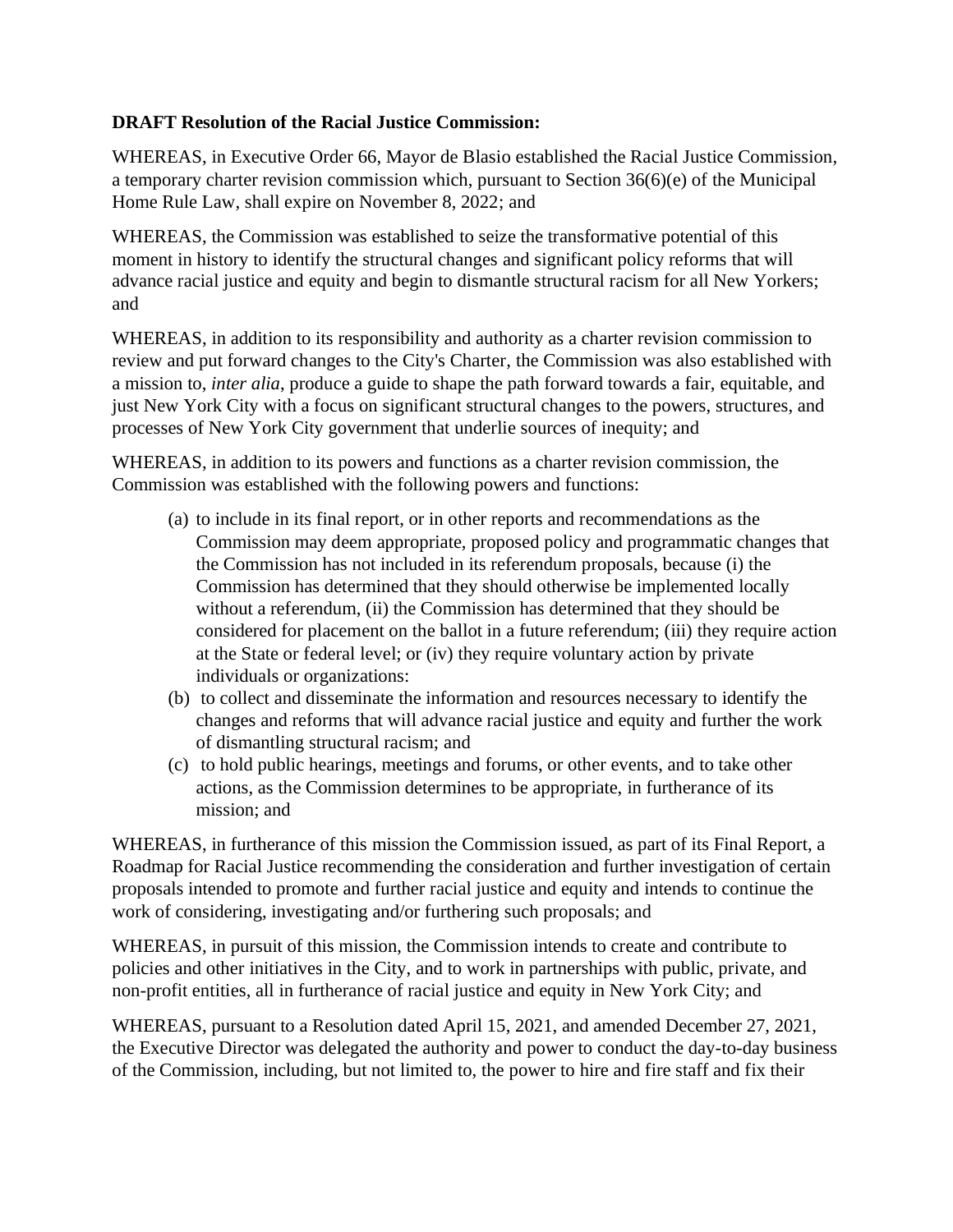## **DRAFT Resolution of the Racial Justice Commission:**

WHEREAS, in Executive Order 66, Mayor de Blasio established the Racial Justice Commission, a temporary charter revision commission which, pursuant to Section 36(6)(e) of the Municipal Home Rule Law, shall expire on November 8, 2022; and

WHEREAS, the Commission was established to seize the transformative potential of this moment in history to identify the structural changes and significant policy reforms that will advance racial justice and equity and begin to dismantle structural racism for all New Yorkers; and

WHEREAS, in addition to its responsibility and authority as a charter revision commission to review and put forward changes to the City's Charter, the Commission was also established with a mission to, *inter alia*, produce a guide to shape the path forward towards a fair, equitable, and just New York City with a focus on significant structural changes to the powers, structures, and processes of New York City government that underlie sources of inequity; and

WHEREAS, in addition to its powers and functions as a charter revision commission, the Commission was established with the following powers and functions:

- (a) to include in its final report, or in other reports and recommendations as the Commission may deem appropriate, proposed policy and programmatic changes that the Commission has not included in its referendum proposals, because (i) the Commission has determined that they should otherwise be implemented locally without a referendum, (ii) the Commission has determined that they should be considered for placement on the ballot in a future referendum; (iii) they require action at the State or federal level; or (iv) they require voluntary action by private individuals or organizations:
- (b) to collect and disseminate the information and resources necessary to identify the changes and reforms that will advance racial justice and equity and further the work of dismantling structural racism; and
- (c) to hold public hearings, meetings and forums, or other events, and to take other actions, as the Commission determines to be appropriate, in furtherance of its mission; and

WHEREAS, in furtherance of this mission the Commission issued, as part of its Final Report, a Roadmap for Racial Justice recommending the consideration and further investigation of certain proposals intended to promote and further racial justice and equity and intends to continue the work of considering, investigating and/or furthering such proposals; and

WHEREAS, in pursuit of this mission, the Commission intends to create and contribute to policies and other initiatives in the City, and to work in partnerships with public, private, and non-profit entities, all in furtherance of racial justice and equity in New York City; and

WHEREAS, pursuant to a Resolution dated April 15, 2021, and amended December 27, 2021, the Executive Director was delegated the authority and power to conduct the day-to-day business of the Commission, including, but not limited to, the power to hire and fire staff and fix their